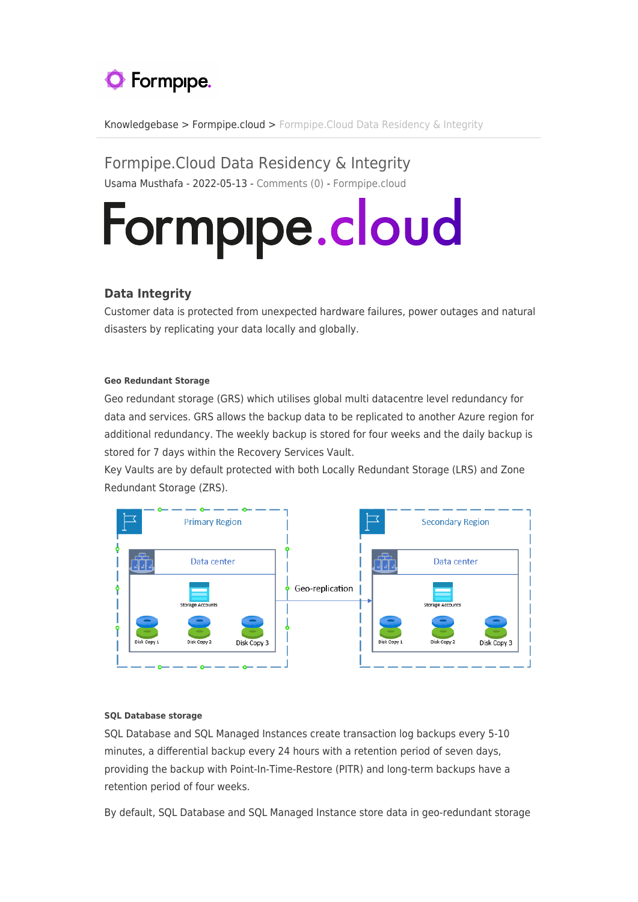# **O** Formpipe.

[Knowledgebase](https://support.formpipe.com/kb) > [Formpipe.cloud](https://support.formpipe.com/kb/formpipe-cloud) > [Formpipe.Cloud Data Residency & Integrity](https://support.formpipe.com/kb/articles/formpipe-cloud-data-residency-integrity)

Formpipe.Cloud Data Residency & Integrity Usama Musthafa - 2022-05-13 - [Comments \(0\)](#page--1-0) - [Formpipe.cloud](https://support.formpipe.com/kb/formpipe-cloud)

# Formpipe.cloud

## **Data Integrity**

Customer data is protected from unexpected hardware failures, power outages and natural disasters by replicating your data locally and globally.

#### **Geo Redundant Storage**

Geo redundant storage (GRS) which utilises global multi datacentre level redundancy for data and services. GRS allows the backup data to be replicated to another Azure region for additional redundancy. The weekly backup is stored for four weeks and the daily backup is stored for 7 days within the Recovery Services Vault.

Key Vaults are by default protected with both Locally Redundant Storage (LRS) and Zone Redundant Storage (ZRS).



#### **SQL Database storage**

SQL Database and SQL Managed Instances create transaction log backups every 5-10 minutes, a differential backup every 24 hours with a retention period of seven days, providing the backup with Point-In-Time-Restore (PITR) and long-term backups have a retention period of four weeks.

By default, SQL Database and SQL Managed Instance store data in geo-redundant storage